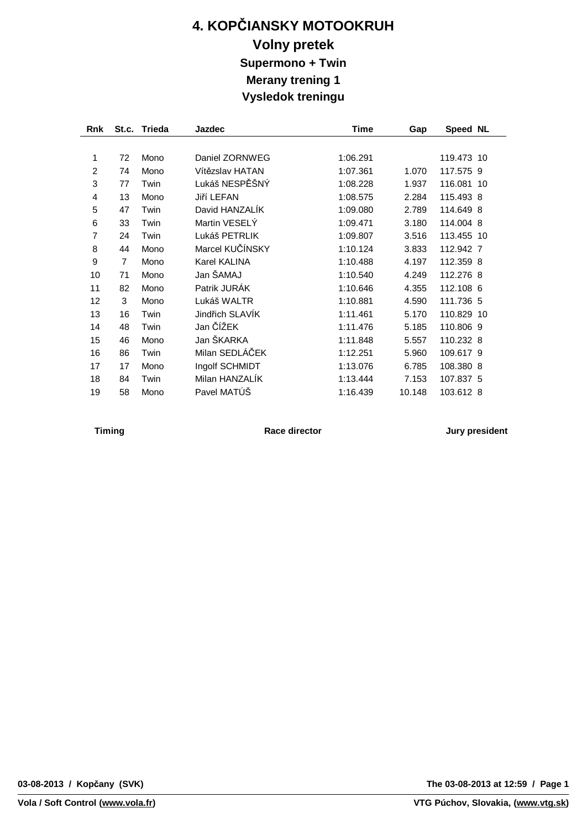## **4. KOPČIANSKY MOTOOKRUH Volny pretek Supermono + Twin Merany trening 1 Vysledok treningu**

| <b>Rnk</b> |                | St.c. Trieda | <b>Jazdec</b>   | Time     | Gap    | Speed NL   |  |
|------------|----------------|--------------|-----------------|----------|--------|------------|--|
|            |                |              |                 |          |        |            |  |
| 1          | 72             | Mono         | Daniel ZORNWEG  | 1:06.291 |        | 119.473 10 |  |
| 2          | 74             | Mono         | Vítězslav HATAN | 1:07.361 | 1.070  | 117.575 9  |  |
| 3          | 77             | Twin         | Lukáš NESPĚŠNÝ  | 1:08.228 | 1.937  | 116.081 10 |  |
| 4          | 13             | Mono         | Jiří LEFAN      | 1:08.575 | 2.284  | 115.493 8  |  |
| 5          | 47             | Twin         | David HANZALIK  | 1:09.080 | 2.789  | 114.649 8  |  |
| 6          | 33             | Twin         | Martin VESELY   | 1:09.471 | 3.180  | 114.004 8  |  |
| 7          | 24             | Twin         | Lukáš PETRLIK   | 1:09.807 | 3.516  | 113.455 10 |  |
| 8          | 44             | Mono         | Marcel KUČÍNSKY | 1:10.124 | 3.833  | 112.942 7  |  |
| 9          | $\overline{7}$ | Mono         | Karel KALINA    | 1:10.488 | 4.197  | 112.359 8  |  |
| 10         | 71             | Mono         | Jan ŠAMAJ       | 1:10.540 | 4.249  | 112.276 8  |  |
| 11         | 82             | Mono         | Patrik JURÁK    | 1:10.646 | 4.355  | 112.108 6  |  |
| 12         | 3              | Mono         | Lukáš WALTR     | 1:10.881 | 4.590  | 111.736 5  |  |
| 13         | 16             | Twin         | Jindřich SLAVÍK | 1:11.461 | 5.170  | 110.829 10 |  |
| 14         | 48             | Twin         | Jan ČÍŽEK       | 1:11.476 | 5.185  | 110.806 9  |  |
| 15         | 46             | Mono         | Jan ŠKARKA      | 1:11.848 | 5.557  | 110.232 8  |  |
| 16         | 86             | Twin         | Milan SEDLÁČEK  | 1:12.251 | 5.960  | 109.617 9  |  |
| 17         | 17             | Mono         | Ingolf SCHMIDT  | 1:13.076 | 6.785  | 108.380 8  |  |
| 18         | 84             | Twin         | Milan HANZALIK  | 1:13.444 | 7.153  | 107.837 5  |  |
| 19         | 58             | Mono         | Pavel MATÚŠ     | 1:16.439 | 10.148 | 103.612 8  |  |

**Timing Race director Jury president**

**The 03-08-2013 at 12:59 / Page 1**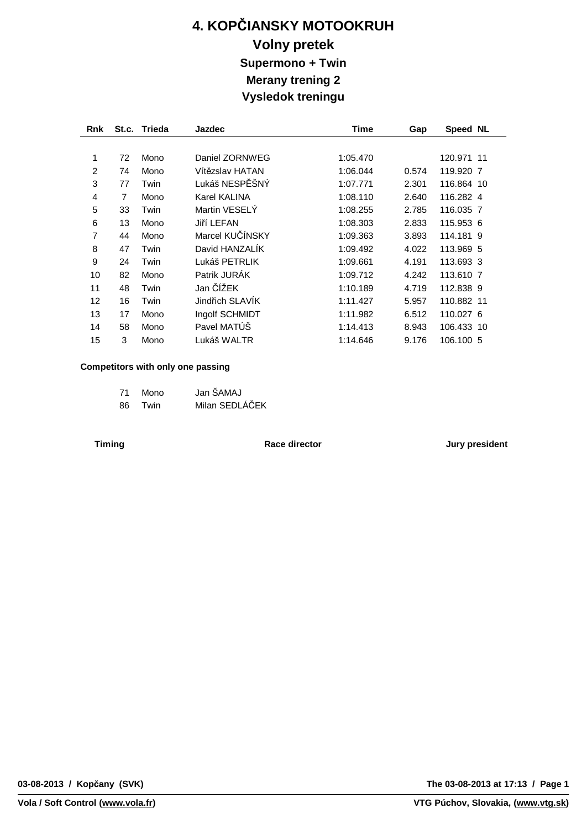## **4. KOPČIANSKY MOTOOKRUH Volny pretek Supermono + Twin Merany trening 2 Vysledok treningu**

| <b>Rnk</b>     |    | St.c. Trieda | <b>Jazdec</b>   | Time     | Gap   | Speed NL   |  |
|----------------|----|--------------|-----------------|----------|-------|------------|--|
|                |    |              |                 |          |       |            |  |
| 1              | 72 | Mono         | Daniel ZORNWEG  | 1:05.470 |       | 120.971 11 |  |
| $\overline{2}$ | 74 | Mono         | Vítězslav HATAN | 1:06.044 | 0.574 | 119,920 7  |  |
| 3              | 77 | Twin         | Lukáš NESPĚŠNÝ  | 1:07.771 | 2.301 | 116.864 10 |  |
| 4              | 7  | Mono         | Karel KALINA    | 1:08.110 | 2.640 | 116.282 4  |  |
| 5              | 33 | Twin         | Martin VESELY   | 1:08.255 | 2.785 | 116.035 7  |  |
| 6              | 13 | Mono         | Jiří LEFAN      | 1:08.303 | 2.833 | 115.953 6  |  |
| 7              | 44 | Mono         | Marcel KUČÍNSKY | 1:09.363 | 3.893 | 114.181 9  |  |
| 8              | 47 | Twin         | David HANZALIK  | 1:09.492 | 4.022 | 113.969 5  |  |
| 9              | 24 | Twin         | Lukáš PETRLIK   | 1:09.661 | 4.191 | 113.693 3  |  |
| 10             | 82 | Mono         | Patrik JURÁK    | 1:09.712 | 4.242 | 113,610 7  |  |
| 11             | 48 | Twin         | Jan ČÍŽEK       | 1:10.189 | 4.719 | 112.838 9  |  |
| 12             | 16 | Twin         | Jindřich SLAVIK | 1:11.427 | 5.957 | 110.882 11 |  |
| 13             | 17 | Mono         | Ingolf SCHMIDT  | 1:11.982 | 6.512 | 110.027 6  |  |
| 14             | 58 | Mono         | Pavel MATÚŠ     | 1:14.413 | 8.943 | 106.433 10 |  |
| 15             | 3  | Mono         | Lukáš WALTR     | 1:14.646 | 9.176 | 106.100 5  |  |

#### **Competitors with only one passing**

| 71  | Mono | Jan ŠAMAJ      |
|-----|------|----------------|
| 86. | Twin | Milan SEDLÁČEK |

**Timing Race director Jury president**

**The 03-08-2013 at 17:13 / Page 1**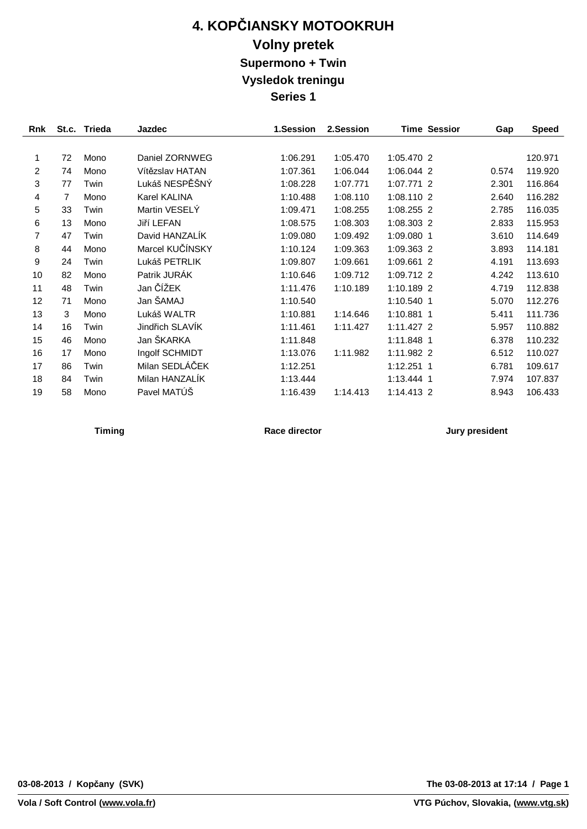# **4. KOPČIANSKY MOTOOKRUH Volny pretek Supermono + Twin Vysledok treningu Series 1**

| Rnk            | St.c. | <b>Trieda</b> | Jazdec          | 1.Session | 2.Session |              | <b>Time Sessior</b> | Gap   | <b>Speed</b> |
|----------------|-------|---------------|-----------------|-----------|-----------|--------------|---------------------|-------|--------------|
|                |       |               |                 |           |           |              |                     |       |              |
| 1              | 72    | Mono          | Daniel ZORNWEG  | 1:06.291  | 1:05.470  | 1:05.470 2   |                     |       | 120.971      |
| 2              | 74    | Mono          | Vítězslav HATAN | 1:07.361  | 1:06.044  | 1:06.044 2   |                     | 0.574 | 119.920      |
| 3              | 77    | Twin          | Lukáš NESPĚŠNÝ  | 1:08.228  | 1:07.771  | 1:07.771 2   |                     | 2.301 | 116.864      |
| $\overline{4}$ | 7     | Mono          | Karel KALINA    | 1:10.488  | 1:08.110  | 1:08.110 2   |                     | 2.640 | 116.282      |
| 5              | 33    | Twin          | Martin VESELY   | 1:09.471  | 1:08.255  | 1:08.255 2   |                     | 2.785 | 116.035      |
| 6              | 13    | Mono          | Jiří LEFAN      | 1:08.575  | 1:08.303  | 1:08.303 2   |                     | 2.833 | 115.953      |
| 7              | 47    | Twin          | David HANZALIK  | 1:09.080  | 1:09.492  | 1:09.080 1   |                     | 3.610 | 114.649      |
| 8              | 44    | Mono          | Marcel KUČÍNSKY | 1:10.124  | 1:09.363  | 1:09.363 2   |                     | 3.893 | 114.181      |
| 9              | 24    | Twin          | Lukáš PETRLIK   | 1:09.807  | 1:09.661  | 1:09.661 2   |                     | 4.191 | 113.693      |
| 10             | 82    | Mono          | Patrik JURÁK    | 1:10.646  | 1:09.712  | 1:09.712 2   |                     | 4.242 | 113.610      |
| 11             | 48    | Twin          | Jan ČÍŽEK       | 1:11.476  | 1:10.189  | 1:10.189 2   |                     | 4.719 | 112.838      |
| 12             | 71    | Mono          | Jan ŠAMAJ       | 1:10.540  |           | 1:10.540 1   |                     | 5.070 | 112.276      |
| 13             | 3     | Mono          | Lukáš WALTR     | 1:10.881  | 1:14.646  | 1:10.881 1   |                     | 5.411 | 111.736      |
| 14             | 16    | Twin          | Jindřich SLAVÍK | 1:11.461  | 1:11.427  | $1:11.427$ 2 |                     | 5.957 | 110.882      |
| 15             | 46    | Mono          | Jan ŠKARKA      | 1:11.848  |           | 1:11.848 1   |                     | 6.378 | 110.232      |
| 16             | 17    | Mono          | Ingolf SCHMIDT  | 1:13.076  | 1:11.982  | 1:11.982 2   |                     | 6.512 | 110.027      |
| 17             | 86    | Twin          | Milan SEDLÁČEK  | 1:12.251  |           | 1:12.251 1   |                     | 6.781 | 109.617      |
| 18             | 84    | Twin          | Milan HANZALÍK  | 1:13.444  |           | 1:13.444 1   |                     | 7.974 | 107.837      |
| 19             | 58    | Mono          | Pavel MATÚŠ     | 1:16.439  | 1:14.413  | 1:14.413 2   |                     | 8.943 | 106.433      |

**Timing Race director Jury president**

**Vola / Soft Control ([www.vola.fr\)](http://www.vola.fr)**

**The 03-08-2013 at 17:14 / Page 1**